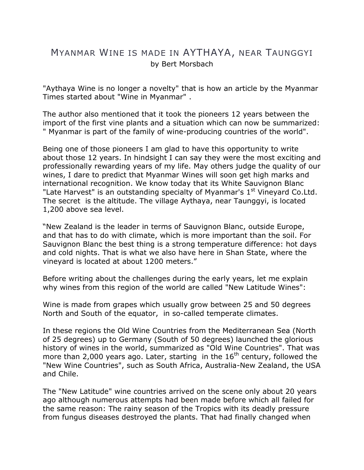## MYANMAR WINE IS MADE IN AYTHAYA, NEAR TAUNGGYI by Bert Morsbach

"Aythaya Wine is no longer a novelty" that is how an article by the Myanmar Times started about "Wine in Myanmar" .

The author also mentioned that it took the pioneers 12 years between the import of the first vine plants and a situation which can now be summarized: " Myanmar is part of the family of wine-producing countries of the world".

Being one of those pioneers I am glad to have this opportunity to write about those 12 years. In hindsight I can say they were the most exciting and professionally rewarding years of my life. May others judge the quality of our wines, I dare to predict that Myanmar Wines will soon get high marks and international recognition. We know today that its White Sauvignon Blanc "Late Harvest" is an outstanding specialty of Myanmar's 1<sup>st</sup> Vineyard Co.Ltd. The secret is the altitude. The village Aythaya, near Taunggyi, is located 1,200 above sea level.

"New Zealand is the leader in terms of Sauvignon Blanc, outside Europe, and that has to do with climate, which is more important than the soil. For Sauvignon Blanc the best thing is a strong temperature difference: hot days and cold nights. That is what we also have here in Shan State, where the vineyard is located at about 1200 meters."

Before writing about the challenges during the early years, let me explain why wines from this region of the world are called "New Latitude Wines":

Wine is made from grapes which usually grow between 25 and 50 degrees North and South of the equator, in so-called temperate climates.

In these regions the Old Wine Countries from the Mediterranean Sea (North of 25 degrees) up to Germany (South of 50 degrees) launched the glorious history of wines in the world, summarized as "Old Wine Countries". That was more than 2,000 years ago. Later, starting in the  $16<sup>th</sup>$  century, followed the "New Wine Countries", such as South Africa, Australia-New Zealand, the USA and Chile.

The "New Latitude" wine countries arrived on the scene only about 20 years ago although numerous attempts had been made before which all failed for the same reason: The rainy season of the Tropics with its deadly pressure from fungus diseases destroyed the plants. That had finally changed when